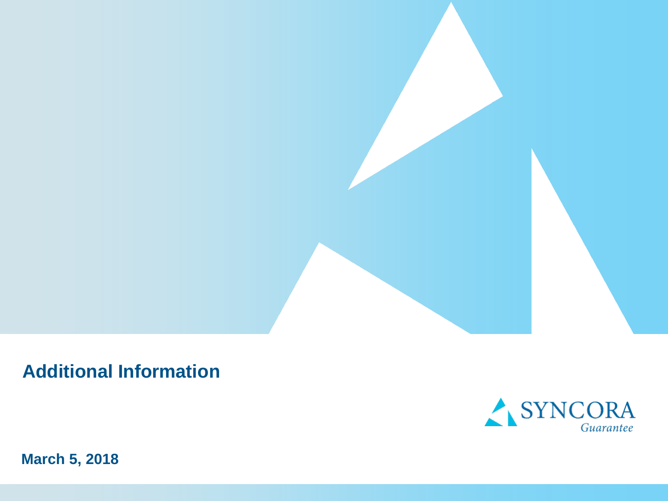



**March 5, 2018**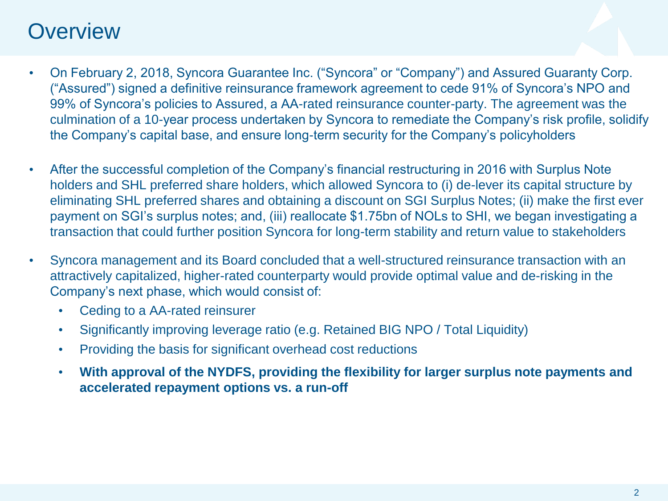### **Overview**

- On February 2, 2018, Syncora Guarantee Inc. ("Syncora" or "Company") and Assured Guaranty Corp. ("Assured") signed a definitive reinsurance framework agreement to cede 91% of Syncora's NPO and 99% of Syncora's policies to Assured, a AA-rated reinsurance counter-party. The agreement was the culmination of a 10-year process undertaken by Syncora to remediate the Company's risk profile, solidify the Company's capital base, and ensure long-term security for the Company's policyholders
- After the successful completion of the Company's financial restructuring in 2016 with Surplus Note holders and SHL preferred share holders, which allowed Syncora to (i) de-lever its capital structure by eliminating SHL preferred shares and obtaining a discount on SGI Surplus Notes; (ii) make the first ever payment on SGI's surplus notes; and, (iii) reallocate \$1.75bn of NOLs to SHI, we began investigating a transaction that could further position Syncora for long-term stability and return value to stakeholders
- Syncora management and its Board concluded that a well-structured reinsurance transaction with an attractively capitalized, higher-rated counterparty would provide optimal value and de-risking in the Company's next phase, which would consist of:
	- Ceding to a AA-rated reinsurer
	- Significantly improving leverage ratio (e.g. Retained BIG NPO / Total Liquidity)
	- Providing the basis for significant overhead cost reductions
	- **With approval of the NYDFS, providing the flexibility for larger surplus note payments and accelerated repayment options vs. a run-off**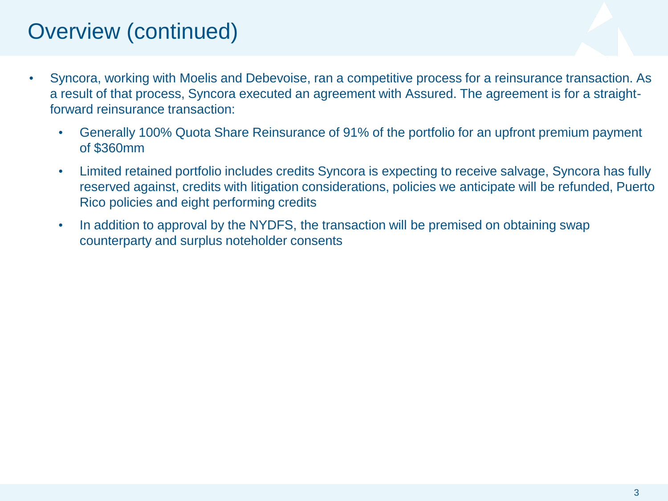# Overview (continued)

- Syncora, working with Moelis and Debevoise, ran a competitive process for a reinsurance transaction. As a result of that process, Syncora executed an agreement with Assured. The agreement is for a straightforward reinsurance transaction:
	- Generally 100% Quota Share Reinsurance of 91% of the portfolio for an upfront premium payment of \$360mm
	- Limited retained portfolio includes credits Syncora is expecting to receive salvage, Syncora has fully reserved against, credits with litigation considerations, policies we anticipate will be refunded, Puerto Rico policies and eight performing credits
	- In addition to approval by the NYDFS, the transaction will be premised on obtaining swap counterparty and surplus noteholder consents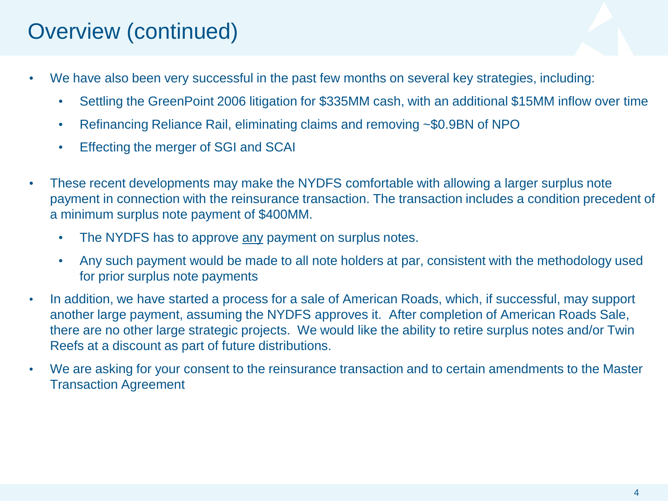# Overview (continued)

- We have also been very successful in the past few months on several key strategies, including:
	- Settling the GreenPoint 2006 litigation for \$335MM cash, with an additional \$15MM inflow over time
	- Refinancing Reliance Rail, eliminating claims and removing ~\$0.9BN of NPO
	- Effecting the merger of SGI and SCAI
- These recent developments may make the NYDFS comfortable with allowing a larger surplus note payment in connection with the reinsurance transaction. The transaction includes a condition precedent of a minimum surplus note payment of \$400MM.
	- The NYDFS has to approve any payment on surplus notes.
	- Any such payment would be made to all note holders at par, consistent with the methodology used for prior surplus note payments
- In addition, we have started a process for a sale of American Roads, which, if successful, may support another large payment, assuming the NYDFS approves it. After completion of American Roads Sale, there are no other large strategic projects. We would like the ability to retire surplus notes and/or Twin Reefs at a discount as part of future distributions.
- We are asking for your consent to the reinsurance transaction and to certain amendments to the Master Transaction Agreement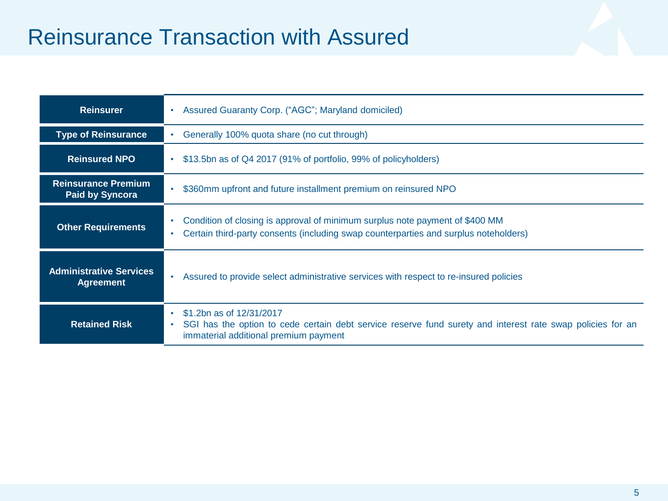## Reinsurance Transaction with Assured

| <b>Reinsurer</b>                                     | Assured Guaranty Corp. ("AGC"; Maryland domiciled)<br>$\bullet$                                                                                                                                           |
|------------------------------------------------------|-----------------------------------------------------------------------------------------------------------------------------------------------------------------------------------------------------------|
| <b>Type of Reinsurance</b>                           | Generally 100% quota share (no cut through)                                                                                                                                                               |
| <b>Reinsured NPO</b>                                 | \$13.5bn as of Q4 2017 (91% of portfolio, 99% of policyholders)<br>$\bullet$                                                                                                                              |
| <b>Reinsurance Premium</b><br><b>Paid by Syncora</b> | \$360mm upfront and future installment premium on reinsured NPO<br>$\bullet$                                                                                                                              |
| <b>Other Requirements</b>                            | Condition of closing is approval of minimum surplus note payment of \$400 MM<br>$\bullet$<br>Certain third-party consents (including swap counterparties and surplus noteholders)<br>$\bullet$            |
| <b>Administrative Services</b><br><b>Agreement</b>   | Assured to provide select administrative services with respect to re-insured policies<br>$\bullet$                                                                                                        |
| <b>Retained Risk</b>                                 | \$1.2bn as of 12/31/2017<br>$\bullet$<br>SGI has the option to cede certain debt service reserve fund surety and interest rate swap policies for an<br>$\bullet$<br>immaterial additional premium payment |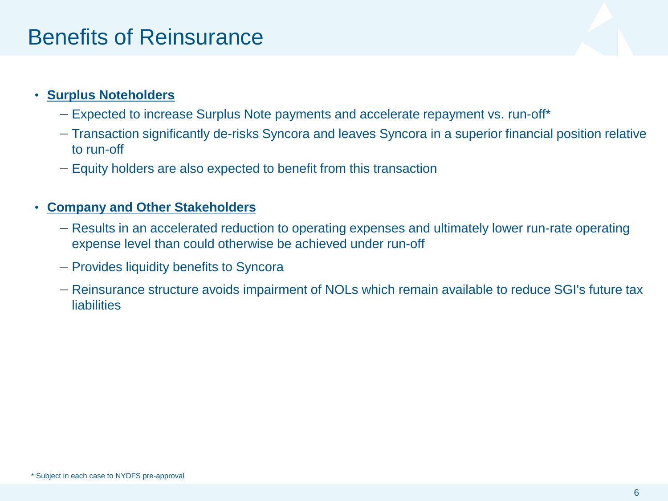### Benefits of Reinsurance

### • **Surplus Noteholders**

- Expected to increase Surplus Note payments and accelerate repayment vs. run-off\*
- Transaction significantly de-risks Syncora and leaves Syncora in a superior financial position relative to run-off
- Equity holders are also expected to benefit from this transaction

### • **Company and Other Stakeholders**

- Results in an accelerated reduction to operating expenses and ultimately lower run-rate operating expense level than could otherwise be achieved under run-off
- Provides liquidity benefits to Syncora
- Reinsurance structure avoids impairment of NOLs which remain available to reduce SGI's future tax **liabilities**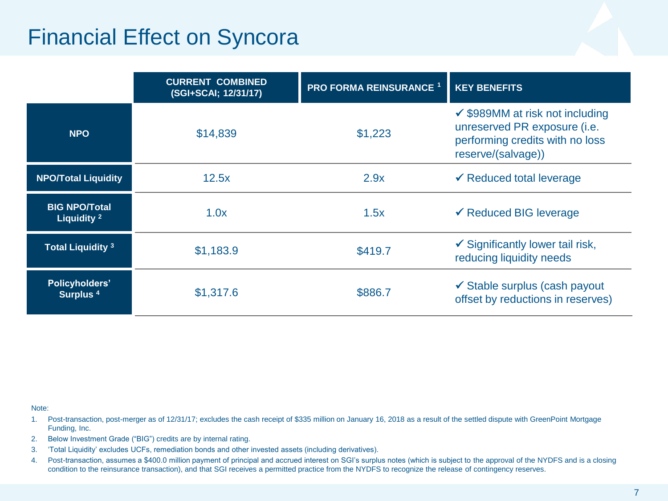### Financial Effect on Syncora

|                                                | <b>CURRENT COMBINED</b><br>(SGI+SCAI; 12/31/17) | <b>PRO FORMA REINSURANCE 1</b> | <b>KEY BENEFITS</b>                                                                                                                 |
|------------------------------------------------|-------------------------------------------------|--------------------------------|-------------------------------------------------------------------------------------------------------------------------------------|
| <b>NPO</b>                                     | \$14,839                                        | \$1,223                        | $\checkmark$ \$989MM at risk not including<br>unreserved PR exposure (i.e.<br>performing credits with no loss<br>reserve/(salvage)) |
| <b>NPO/Total Liquidity</b>                     | 12.5x                                           | 2.9x                           | $\checkmark$ Reduced total leverage                                                                                                 |
| <b>BIG NPO/Total</b><br>Liquidity <sup>2</sup> | 1.0x                                            | 1.5x                           | $\checkmark$ Reduced BIG leverage                                                                                                   |
| <b>Total Liquidity 3</b>                       | \$1,183.9                                       | \$419.7                        | $\checkmark$ Significantly lower tail risk,<br>reducing liquidity needs                                                             |
| <b>Policyholders'</b><br>Surplus <sup>4</sup>  | \$1,317.6                                       | \$886.7                        | $\checkmark$ Stable surplus (cash payout<br>offset by reductions in reserves)                                                       |

#### Note:

- 1. Post-transaction, post-merger as of 12/31/17; excludes the cash receipt of \$335 million on January 16, 2018 as a result of the settled dispute with GreenPoint Mortgage Funding, Inc.
- 2. Below Investment Grade ("BIG") credits are by internal rating.
- 3. 'Total Liquidity' excludes UCFs, remediation bonds and other invested assets (including derivatives).
- 4. Post-transaction, assumes a \$400.0 million payment of principal and accrued interest on SGI's surplus notes (which is subject to the approval of the NYDFS and is a closing condition to the reinsurance transaction), and that SGI receives a permitted practice from the NYDFS to recognize the release of contingency reserves.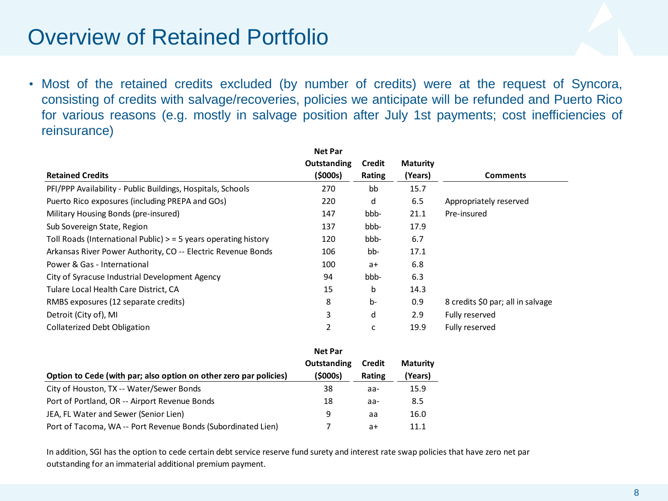### Overview of Retained Portfolio

• Most of the retained credits excluded (by number of credits) were at the request of Syncora, consisting of credits with salvage/recoveries, policies we anticipate will be refunded and Puerto Rico for various reasons (e.g. mostly in salvage position after July 1st payments; cost inefficiencies of reinsurance)

|                                                                   | <b>Net Par</b> |               |                 |                                   |
|-------------------------------------------------------------------|----------------|---------------|-----------------|-----------------------------------|
|                                                                   | Outstanding    | <b>Credit</b> | <b>Maturity</b> |                                   |
| <b>Retained Credits</b>                                           | (5000s)        | Rating        | (Years)         | <b>Comments</b>                   |
| PFI/PPP Availability - Public Buildings, Hospitals, Schools       | 270            | bb            | 15.7            |                                   |
| Puerto Rico exposures (including PREPA and GOs)                   | 220            | d             | 6.5             | Appropriately reserved            |
| Military Housing Bonds (pre-insured)                              | 147            | bbb-          | 21.1            | Pre-insured                       |
| Sub Sovereign State, Region                                       | 137            | bbb-          | 17.9            |                                   |
| Toll Roads (International Public) $>$ = 5 years operating history | 120            | bbb-          | 6.7             |                                   |
| Arkansas River Power Authority, CO -- Electric Revenue Bonds      | 106            | bb-           | 17.1            |                                   |
| Power & Gas - International                                       | 100            | $a+$          | 6.8             |                                   |
| City of Syracuse Industrial Development Agency                    | 94             | bbb-          | 6.3             |                                   |
| Tulare Local Health Care District, CA                             | 15             | b             | 14.3            |                                   |
| RMBS exposures (12 separate credits)                              | 8              | $b-$          | 0.9             | 8 credits \$0 par; all in salvage |
| Detroit (City of), MI                                             | 3              | d             | 2.9             | Fully reserved                    |
| <b>Collaterized Debt Obligation</b>                               | 2              | C             | 19.9            | Fully reserved                    |

|                                                                   | <b>Net Par</b> |        |                 |
|-------------------------------------------------------------------|----------------|--------|-----------------|
|                                                                   | Outstanding    | Credit | <b>Maturity</b> |
| Option to Cede (with par; also option on other zero par policies) | (5000s)        | Rating | (Years)         |
| City of Houston, TX -- Water/Sewer Bonds                          | 38             | aa-    | 15.9            |
| Port of Portland, OR -- Airport Revenue Bonds                     | 18             | aa-    | 8.5             |
| JEA, FL Water and Sewer (Senior Lien)                             | 9              | aa     | 16.0            |
| Port of Tacoma, WA -- Port Revenue Bonds (Subordinated Lien)      |                | a+     | 11.1            |
|                                                                   |                |        |                 |
|                                                                   |                |        |                 |

In addition, SGI has the option to cede certain debt service reserve fund surety and interest rate swap policies that have zero net par outstanding for an immaterial additional premium payment.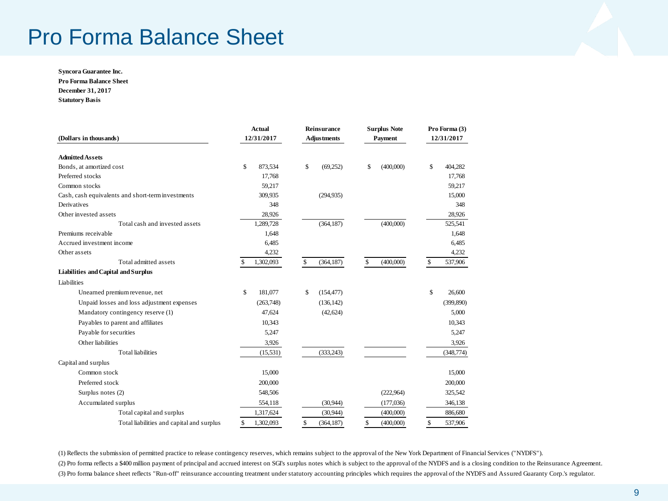### Pro Forma Balance Sheet

**Syncora Guarantee Inc. Pro Forma Balance Sheet December 31, 2017 Statutory Basis**

|                                                   | <b>Actual</b>   | <b>Reinsurance</b> | <b>Surplus Note</b> | Pro Forma (3)<br>12/31/2017 |  |
|---------------------------------------------------|-----------------|--------------------|---------------------|-----------------------------|--|
| (Dollars in thousands)                            | 12/31/2017      | <b>Adjustments</b> | <b>Payment</b>      |                             |  |
| <b>Admitted Assets</b>                            |                 |                    |                     |                             |  |
| Bonds, at amortized cost                          | \$<br>873,534   | \$<br>(69, 252)    | \$<br>(400,000)     | \$<br>404,282               |  |
| Preferred stocks                                  | 17,768          |                    |                     | 17,768                      |  |
| Common stocks                                     | 59,217          |                    |                     | 59,217                      |  |
| Cash, cash equivalents and short-term investments | 309,935         | (294, 935)         |                     | 15,000                      |  |
| Derivatives                                       | 348             |                    |                     | 348                         |  |
| Other invested assets                             | 28,926          |                    |                     | 28,926                      |  |
| Total cash and invested assets                    | 1,289,728       | (364, 187)         | (400,000)           | 525,541                     |  |
| Premiums receivable                               | 1,648           |                    |                     | 1,648                       |  |
| Accrued investment income                         | 6,485           |                    |                     | 6,485                       |  |
| Other assets                                      | 4,232           |                    |                     | 4,232                       |  |
| Total admitted assets                             | 1,302,093<br>\$ | \$<br>(364, 187)   | \$<br>(400,000)     | \$<br>537,906               |  |
| <b>Liabilities and Capital and Surplus</b>        |                 |                    |                     |                             |  |
| Liabilities                                       |                 |                    |                     |                             |  |
| Unearned premium revenue, net                     | \$<br>181,077   | \$<br>(154, 477)   |                     | \$<br>26.600                |  |
| Unpaid losses and loss adjustment expenses        | (263,748)       | (136, 142)         |                     | (399, 890)                  |  |
| Mandatory contingency reserve (1)                 | 47,624          | (42, 624)          |                     | 5,000                       |  |
| Payables to parent and affiliates                 | 10,343          |                    |                     | 10,343                      |  |
| Payable for securities                            | 5,247           |                    |                     | 5,247                       |  |
| Other liabilities                                 | 3,926           |                    |                     | 3,926                       |  |
| <b>Total liabilities</b>                          | (15, 531)       | (333, 243)         |                     | (348, 774)                  |  |
| Capital and surplus                               |                 |                    |                     |                             |  |
| Common stock                                      | 15,000          |                    |                     | 15,000                      |  |
| Preferred stock                                   | 200,000         |                    |                     | 200,000                     |  |
| Surplus notes (2)                                 | 548,506         |                    | (222,964)           | 325,542                     |  |
| Accumulated surplus                               | 554,118         | (30, 944)          | (177, 036)          | 346,138                     |  |
| Total capital and surplus                         | 1,317,624       | (30, 944)          | (400,000)           | 886,680                     |  |
| Total liabilities and capital and surplus         | \$<br>1,302,093 | \$<br>(364, 187)   | \$<br>(400,000)     | \$<br>537,906               |  |

(1) Reflects the submission of permitted practice to release contingency reserves, which remains subject to the approval of the New York Department of Financial Services ("NYDFS"). (2) Pro forma reflects a \$400 million payment of principal and accrued interest on SGI's surplus notes which is subject to the approval of the NYDFS and is a closing condition to the Reinsurance Agreement. (3) Pro forma balance sheet reflects "Run-off" reinsurance accounting treatment under statutory accounting principles which requires the approval of the NYDFS and Assured Guaranty Corp.'s regulator.